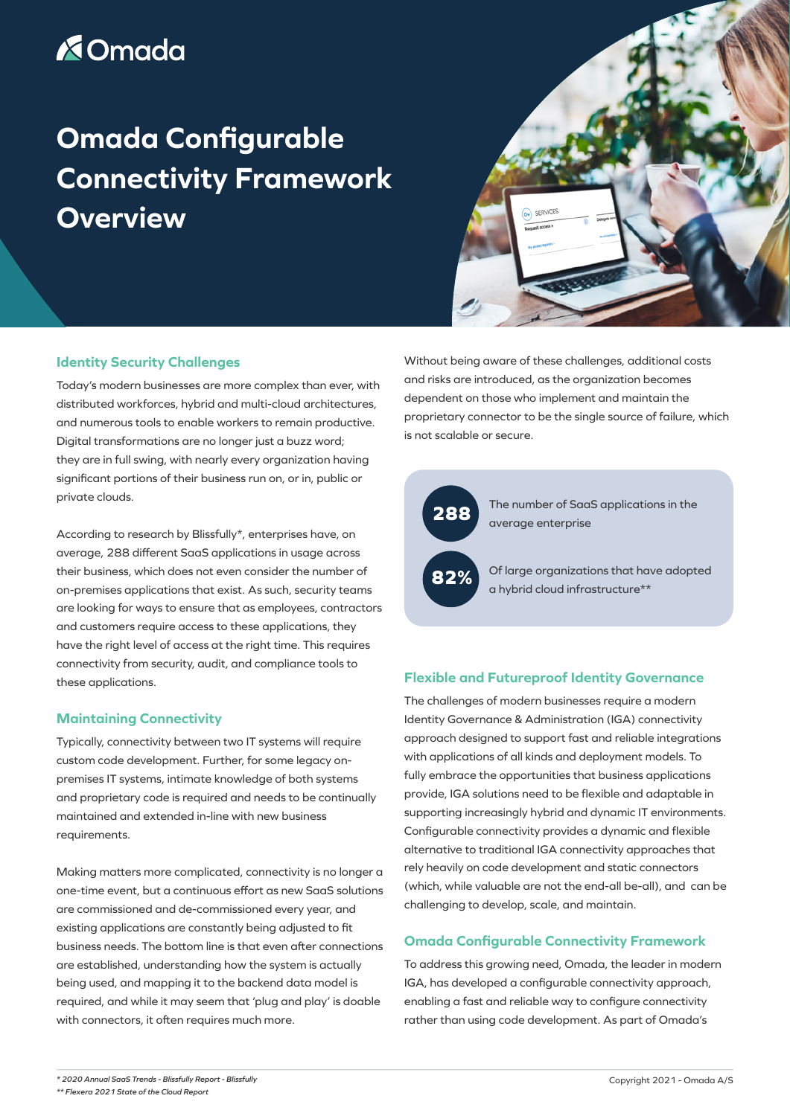# **X**Omada

# **Omada Configurable Connectivity Framework Overview**



### **Identity Security Challenges**

Today's modern businesses are more complex than ever, with distributed workforces, hybrid and multi-cloud architectures, and numerous tools to enable workers to remain productive. Digital transformations are no longer just a buzz word; they are in full swing, with nearly every organization having significant portions of their business run on, or in, public or private clouds.

According to research by Blissfully\*, enterprises have, on average, 288 different SaaS applications in usage across their business, which does not even consider the number of on-premises applications that exist. As such, security teams are looking for ways to ensure that as employees, contractors and customers require access to these applications, they have the right level of access at the right time. This requires connectivity from security, audit, and compliance tools to these applications.

# **Maintaining Connectivity**

Typically, connectivity between two IT systems will require custom code development. Further, for some legacy onpremises IT systems, intimate knowledge of both systems and proprietary code is required and needs to be continually maintained and extended in-line with new business requirements.

Making matters more complicated, connectivity is no longer a one-time event, but a continuous effort as new SaaS solutions are commissioned and de-commissioned every year, and existing applications are constantly being adjusted to fit business needs. The bottom line is that even after connections are established, understanding how the system is actually being used, and mapping it to the backend data model is required, and while it may seem that 'plug and play' is doable with connectors, it often requires much more.

Without being aware of these challenges, additional costs and risks are introduced, as the organization becomes dependent on those who implement and maintain the proprietary connector to be the single source of failure, which is not scalable or secure.



The number of SaaS applications in the average enterprise

Of large organizations that have adopted a hybrid cloud infrastructure\*\*

#### **Flexible and Futureproof Identity Governance**

The challenges of modern businesses require a modern Identity Governance & Administration (IGA) connectivity approach designed to support fast and reliable integrations with applications of all kinds and deployment models. To fully embrace the opportunities that business applications provide, IGA solutions need to be flexible and adaptable in supporting increasingly hybrid and dynamic IT environments. Configurable connectivity provides a dynamic and flexible alternative to traditional IGA connectivity approaches that rely heavily on code development and static connectors (which, while valuable are not the end-all be-all), and can be challenging to develop, scale, and maintain.

#### **Omada Configurable Connectivity Framework**

To address this growing need, Omada, the leader in modern IGA, has developed a configurable connectivity approach, enabling a fast and reliable way to configure connectivity rather than using code development. As part of Omada's

*<sup>\*</sup> [2020 Annual SaaS Trends - Blissfully Report - Blissfully](http://2020 Annual SaaS Trends - Blissfully Report - Blissfully)*

*<sup>\*\*</sup> Flexera 2021 State of the Cloud Report*